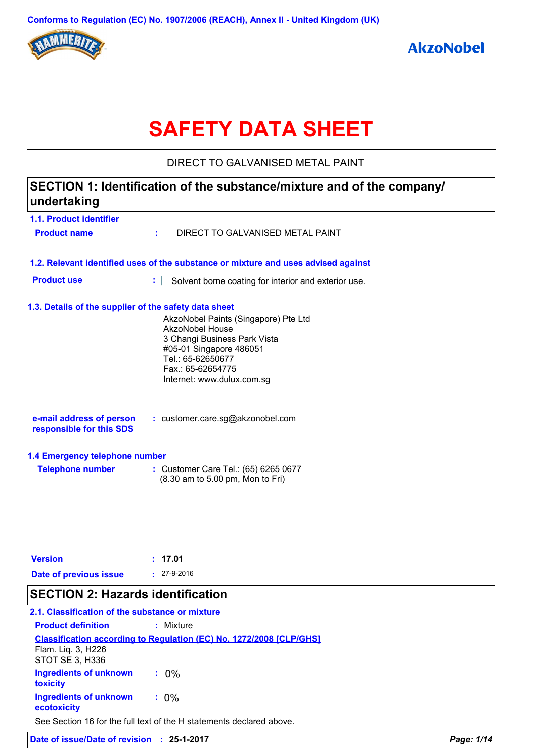

# **SAFETY DATA SHEET**

DIRECT TO GALVANISED METAL PAINT

## **1.1. Product identifier 1.3. Details of the supplier of the safety data sheet 1.2. Relevant identified uses of the substance or mixture and uses advised against SECTION 1: Identification of the substance/mixture and of the company/ undertaking Date of previous issue :** 27-9-2016 AkzoNobel Paints (Singapore) Pte Ltd AkzoNobel House 3 Changi Business Park Vista #05-01 Singapore 486051 Tel.: 65-62650677 Fax.: 65-62654775 Internet: www.dulux.com.sg **e-mail address of person responsible for this SDS :** customer.care.sg@akzonobel.com **1.4 Emergency telephone number Telephone number :** Customer Care Tel.: (65) 6265 0677 (8.30 am to 5.00 pm, Mon to Fri) **Version : 17.01 Product name :** DIRECT TO GALVANISED METAL PAINT **Product use :** Solvent borne coating for interior and exterior use. **SECTION 2: Hazards identification**

#### **2.1. Classification of the substance or mixture**

| <b>Product definition</b>                    | : Mixture                                                                  |
|----------------------------------------------|----------------------------------------------------------------------------|
|                                              | <b>Classification according to Regulation (EC) No. 1272/2008 [CLP/GHS]</b> |
| Flam. Liq. 3, H226<br>STOT SE 3, H336        |                                                                            |
| <b>Ingredients of unknown</b><br>toxicity    | $: 0\%$                                                                    |
| <b>Ingredients of unknown</b><br>ecotoxicity | $: 0\%$                                                                    |
|                                              | See Section 16 for the full text of the H statements declared above.       |

**Date of issue/Date of revision : 25-1-2017** *Page: 1/14*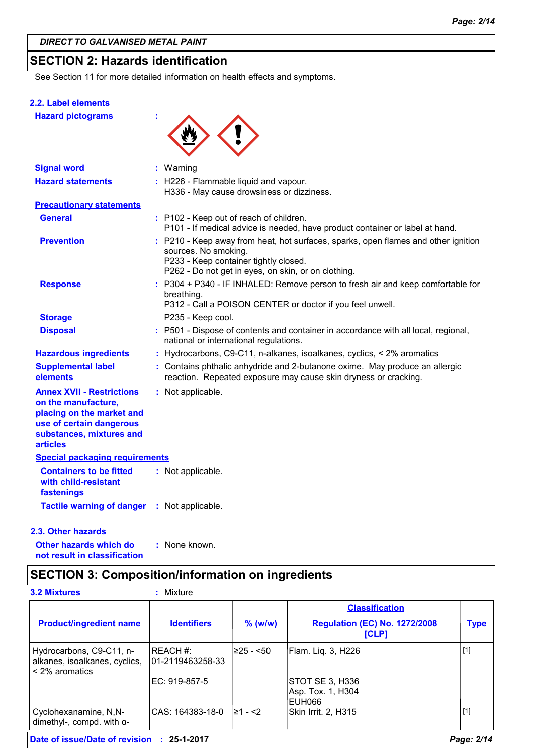### **SECTION 2: Hazards identification**

See Section 11 for more detailed information on health effects and symptoms.

#### **2.2. Label elements**

**Hazard pictograms :**



| <b>Signal word</b>                                                                                                                                              | $:$ Warning                                                                                                                                                                                                |
|-----------------------------------------------------------------------------------------------------------------------------------------------------------------|------------------------------------------------------------------------------------------------------------------------------------------------------------------------------------------------------------|
| <b>Hazard statements</b>                                                                                                                                        | : H226 - Flammable liquid and vapour.<br>H336 - May cause drowsiness or dizziness.                                                                                                                         |
| <b>Precautionary statements</b>                                                                                                                                 |                                                                                                                                                                                                            |
| <b>General</b>                                                                                                                                                  | : P102 - Keep out of reach of children.<br>P101 - If medical advice is needed, have product container or label at hand.                                                                                    |
| <b>Prevention</b>                                                                                                                                               | : P210 - Keep away from heat, hot surfaces, sparks, open flames and other ignition<br>sources. No smoking.<br>P233 - Keep container tightly closed.<br>P262 - Do not get in eyes, on skin, or on clothing. |
| <b>Response</b>                                                                                                                                                 | P304 + P340 - IF INHALED: Remove person to fresh air and keep comfortable for<br>breathing.<br>P312 - Call a POISON CENTER or doctor if you feel unwell.                                                   |
| <b>Storage</b>                                                                                                                                                  | P235 - Keep cool.                                                                                                                                                                                          |
| <b>Disposal</b>                                                                                                                                                 | : P501 - Dispose of contents and container in accordance with all local, regional,<br>national or international regulations.                                                                               |
| <b>Hazardous ingredients</b>                                                                                                                                    | : Hydrocarbons, C9-C11, n-alkanes, isoalkanes, cyclics, < 2% aromatics                                                                                                                                     |
| <b>Supplemental label</b><br>elements                                                                                                                           | : Contains phthalic anhydride and 2-butanone oxime. May produce an allergic<br>reaction. Repeated exposure may cause skin dryness or cracking.                                                             |
| <b>Annex XVII - Restrictions</b><br>on the manufacture,<br>placing on the market and<br>use of certain dangerous<br>substances, mixtures and<br><b>articles</b> | : Not applicable.                                                                                                                                                                                          |
| <b>Special packaging requirements</b>                                                                                                                           |                                                                                                                                                                                                            |
| <b>Containers to be fitted</b><br>with child-resistant<br>fastenings                                                                                            | : Not applicable.                                                                                                                                                                                          |
| <b>Tactile warning of danger</b>                                                                                                                                | : Not applicable.                                                                                                                                                                                          |

#### **2.3. Other hazards**

**Other hazards which do : not result in classification** : None known.

### **SECTION 3: Composition/information on ingredients**

|                                                                             |                              |             | <b>Classification</b>                                |             |
|-----------------------------------------------------------------------------|------------------------------|-------------|------------------------------------------------------|-------------|
| <b>Product/ingredient name</b>                                              | <b>Identifiers</b>           | $%$ (w/w)   | <b>Regulation (EC) No. 1272/2008</b><br><b>[CLP]</b> | <b>Type</b> |
| Hydrocarbons, C9-C11, n-<br>alkanes, isoalkanes, cyclics,<br>< 2% aromatics | REACH #:<br>01-2119463258-33 | l≥25 - <50∶ | Flam. Liq. 3, H226                                   | $[1]$       |
|                                                                             | EC: 919-857-5                |             | STOT SE 3, H336<br>Asp. Tox. 1, H304<br>EUH066       |             |
| Cyclohexanamine, N,N-<br>dimethyl-, compd. with $\alpha$ -                  | CAS: 164383-18-0             | l≥1 - <2    | Skin Irrit. 2, H315                                  | $[1]$       |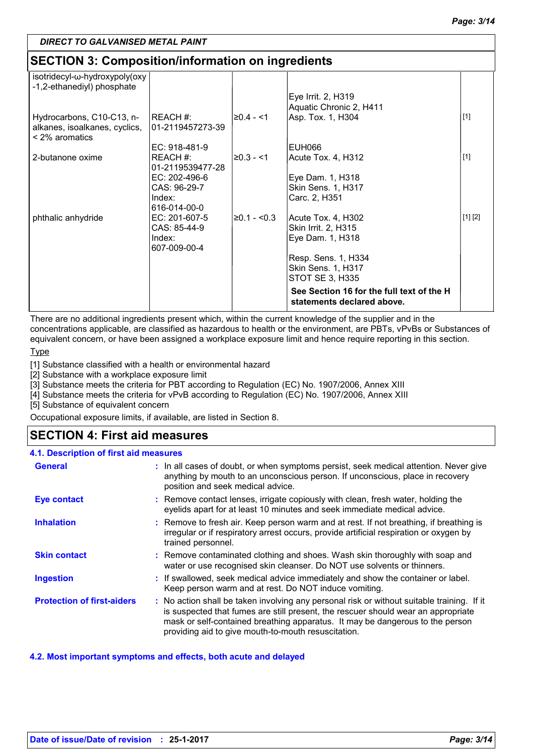### **SECTION 3: Composition/information on ingredients**

| isotridecyl-ω-hydroxypoly(oxy<br>-1,2-ethanediyl) phosphate                       |                              |             |                                                                         |         |
|-----------------------------------------------------------------------------------|------------------------------|-------------|-------------------------------------------------------------------------|---------|
|                                                                                   |                              |             | Eye Irrit. 2, H319<br>Aquatic Chronic 2, H411                           |         |
| Hydrocarbons, C10-C13, n-<br>alkanes, isoalkanes, cyclics,<br>$\leq$ 2% aromatics | REACH #:<br>01-2119457273-39 | l≥0.4 - <1  | Asp. Tox. 1, H304                                                       | $[1]$   |
|                                                                                   | EC: 918-481-9                |             | EUH066                                                                  |         |
| 2-butanone oxime                                                                  | REACH#:<br>01-2119539477-28  | l≥0.3 - <1  | Acute Tox. 4, H312                                                      | $[1]$   |
|                                                                                   | EC: 202-496-6                |             | Eye Dam. 1, H318                                                        |         |
|                                                                                   | CAS: 96-29-7                 |             | <b>Skin Sens. 1, H317</b>                                               |         |
|                                                                                   | Index:                       |             | Carc. 2, H351                                                           |         |
|                                                                                   | 616-014-00-0                 |             |                                                                         |         |
| phthalic anhydride                                                                | EC: 201-607-5                | ≥0.1 - <0.3 | Acute Tox. 4, H302                                                      | [1] [2] |
|                                                                                   | CAS: 85-44-9                 |             | Skin Irrit. 2, H315                                                     |         |
|                                                                                   | Index:<br>607-009-00-4       |             | Eye Dam. 1, H318                                                        |         |
|                                                                                   |                              |             | Resp. Sens. 1, H334                                                     |         |
|                                                                                   |                              |             | <b>Skin Sens. 1, H317</b>                                               |         |
|                                                                                   |                              |             | STOT SE 3, H335                                                         |         |
|                                                                                   |                              |             | See Section 16 for the full text of the H<br>statements declared above. |         |

There are no additional ingredients present which, within the current knowledge of the supplier and in the concentrations applicable, are classified as hazardous to health or the environment, are PBTs, vPvBs or Substances of equivalent concern, or have been assigned a workplace exposure limit and hence require reporting in this section.

Type

[1] Substance classified with a health or environmental hazard

[2] Substance with a workplace exposure limit

[3] Substance meets the criteria for PBT according to Regulation (EC) No. 1907/2006, Annex XIII

[4] Substance meets the criteria for vPvB according to Regulation (EC) No. 1907/2006, Annex XIII

[5] Substance of equivalent concern

Occupational exposure limits, if available, are listed in Section 8.

### **SECTION 4: First aid measures**

| 4.1. Description of first aid measures |                                                                                                                                                                                                                                                                                                                         |
|----------------------------------------|-------------------------------------------------------------------------------------------------------------------------------------------------------------------------------------------------------------------------------------------------------------------------------------------------------------------------|
| <b>General</b>                         | : In all cases of doubt, or when symptoms persist, seek medical attention. Never give<br>anything by mouth to an unconscious person. If unconscious, place in recovery<br>position and seek medical advice.                                                                                                             |
| <b>Eye contact</b>                     | : Remove contact lenses, irrigate copiously with clean, fresh water, holding the<br>eyelids apart for at least 10 minutes and seek immediate medical advice.                                                                                                                                                            |
| <b>Inhalation</b>                      | : Remove to fresh air. Keep person warm and at rest. If not breathing, if breathing is<br>irregular or if respiratory arrest occurs, provide artificial respiration or oxygen by<br>trained personnel.                                                                                                                  |
| <b>Skin contact</b>                    | : Remove contaminated clothing and shoes. Wash skin thoroughly with soap and<br>water or use recognised skin cleanser. Do NOT use solvents or thinners.                                                                                                                                                                 |
| <b>Ingestion</b>                       | : If swallowed, seek medical advice immediately and show the container or label.<br>Keep person warm and at rest. Do NOT induce vomiting.                                                                                                                                                                               |
| <b>Protection of first-aiders</b>      | : No action shall be taken involving any personal risk or without suitable training. If it<br>is suspected that fumes are still present, the rescuer should wear an appropriate<br>mask or self-contained breathing apparatus. It may be dangerous to the person<br>providing aid to give mouth-to-mouth resuscitation. |

#### **4.2. Most important symptoms and effects, both acute and delayed**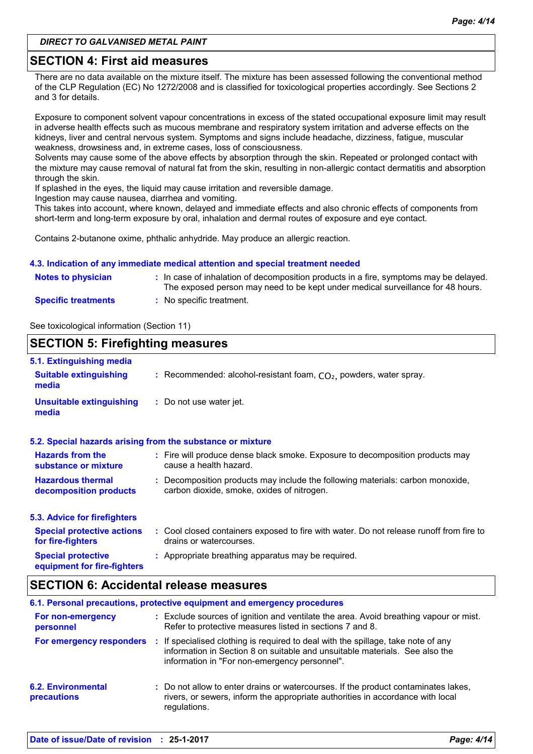### **SECTION 4: First aid measures**

There are no data available on the mixture itself. The mixture has been assessed following the conventional method of the CLP Regulation (EC) No 1272/2008 and is classified for toxicological properties accordingly. See Sections 2 and 3 for details.

Exposure to component solvent vapour concentrations in excess of the stated occupational exposure limit may result in adverse health effects such as mucous membrane and respiratory system irritation and adverse effects on the kidneys, liver and central nervous system. Symptoms and signs include headache, dizziness, fatigue, muscular weakness, drowsiness and, in extreme cases, loss of consciousness.

Solvents may cause some of the above effects by absorption through the skin. Repeated or prolonged contact with the mixture may cause removal of natural fat from the skin, resulting in non-allergic contact dermatitis and absorption through the skin.

If splashed in the eyes, the liquid may cause irritation and reversible damage.

Ingestion may cause nausea, diarrhea and vomiting.

This takes into account, where known, delayed and immediate effects and also chronic effects of components from short-term and long-term exposure by oral, inhalation and dermal routes of exposure and eye contact.

Contains 2-butanone oxime, phthalic anhydride. May produce an allergic reaction.

#### **4.3. Indication of any immediate medical attention and special treatment needed**

| <b>Notes to physician</b>  | : In case of inhalation of decomposition products in a fire, symptoms may be delayed.<br>The exposed person may need to be kept under medical surveillance for 48 hours. |
|----------------------------|--------------------------------------------------------------------------------------------------------------------------------------------------------------------------|
| <b>Specific treatments</b> | : No specific treatment.                                                                                                                                                 |

See toxicological information (Section 11)

#### **SECTION 5: Firefighting measures**

| 5.1. Extinguishing media                                 |                                                                                                                              |
|----------------------------------------------------------|------------------------------------------------------------------------------------------------------------------------------|
| <b>Suitable extinguishing</b><br>media                   | : Recommended: alcohol-resistant foam, $CO2$ , powders, water spray.                                                         |
| <b>Unsuitable extinguishing</b><br>media                 | : Do not use water jet.                                                                                                      |
|                                                          | 5.2. Special hazards arising from the substance or mixture                                                                   |
| <b>Hazards from the</b><br>substance or mixture          | : Fire will produce dense black smoke. Exposure to decomposition products may<br>cause a health hazard.                      |
| <b>Hazardous thermal</b><br>decomposition products       | : Decomposition products may include the following materials: carbon monoxide,<br>carbon dioxide, smoke, oxides of nitrogen. |
| 5.3. Advice for firefighters                             |                                                                                                                              |
| <b>Special protective actions</b><br>for fire-fighters   | : Cool closed containers exposed to fire with water. Do not release runoff from fire to<br>drains or watercourses.           |
| <b>Special protective</b><br>equipment for fire-fighters | : Appropriate breathing apparatus may be required.                                                                           |

### **SECTION 6: Accidental release measures**

| 6.1. Personal precautions, protective equipment and emergency procedures |    |                                                                                                                                                                                                                 |  |
|--------------------------------------------------------------------------|----|-----------------------------------------------------------------------------------------------------------------------------------------------------------------------------------------------------------------|--|
| For non-emergency<br>personnel                                           |    | : Exclude sources of ignition and ventilate the area. Avoid breathing vapour or mist.<br>Refer to protective measures listed in sections 7 and 8.                                                               |  |
| For emergency responders                                                 | п. | If specialised clothing is required to deal with the spillage, take note of any<br>information in Section 8 on suitable and unsuitable materials. See also the<br>information in "For non-emergency personnel". |  |
| <b>6.2. Environmental</b><br><b>precautions</b>                          |    | : Do not allow to enter drains or watercourses. If the product contaminates lakes,<br>rivers, or sewers, inform the appropriate authorities in accordance with local<br>regulations.                            |  |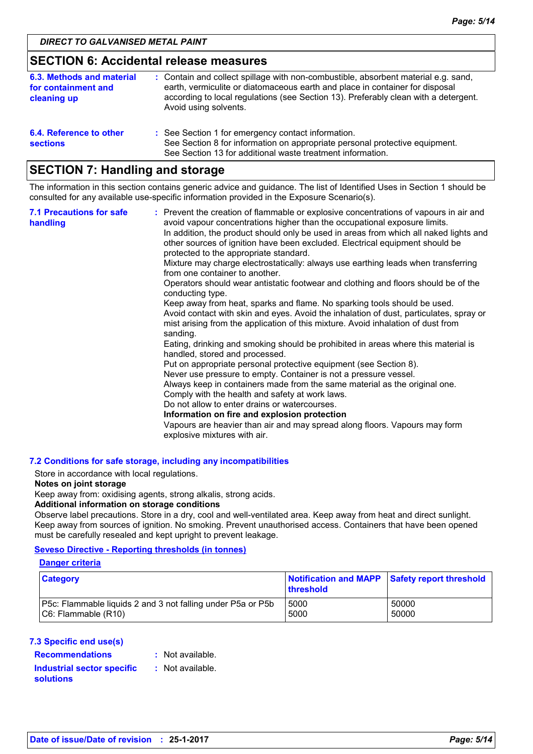### **SECTION 6: Accidental release measures**

| 6.3. Methods and material<br>for containment and<br>cleaning up | : Contain and collect spillage with non-combustible, absorbent material e.g. sand,<br>earth, vermiculite or diatomaceous earth and place in container for disposal<br>according to local regulations (see Section 13). Preferably clean with a detergent.<br>Avoid using solvents. |
|-----------------------------------------------------------------|------------------------------------------------------------------------------------------------------------------------------------------------------------------------------------------------------------------------------------------------------------------------------------|
| 6.4. Reference to other<br><b>sections</b>                      | : See Section 1 for emergency contact information.<br>See Section 8 for information on appropriate personal protective equipment.<br>See Section 13 for additional waste treatment information.                                                                                    |

### **SECTION 7: Handling and storage**

The information in this section contains generic advice and guidance. The list of Identified Uses in Section 1 should be consulted for any available use-specific information provided in the Exposure Scenario(s).

| <b>7.1 Precautions for safe</b><br>handling | : Prevent the creation of flammable or explosive concentrations of vapours in air and<br>avoid vapour concentrations higher than the occupational exposure limits.<br>In addition, the product should only be used in areas from which all naked lights and<br>other sources of ignition have been excluded. Electrical equipment should be<br>protected to the appropriate standard.<br>Mixture may charge electrostatically: always use earthing leads when transferring<br>from one container to another.<br>Operators should wear antistatic footwear and clothing and floors should be of the<br>conducting type.<br>Keep away from heat, sparks and flame. No sparking tools should be used.<br>Avoid contact with skin and eyes. Avoid the inhalation of dust, particulates, spray or<br>mist arising from the application of this mixture. Avoid inhalation of dust from |  |  |  |
|---------------------------------------------|----------------------------------------------------------------------------------------------------------------------------------------------------------------------------------------------------------------------------------------------------------------------------------------------------------------------------------------------------------------------------------------------------------------------------------------------------------------------------------------------------------------------------------------------------------------------------------------------------------------------------------------------------------------------------------------------------------------------------------------------------------------------------------------------------------------------------------------------------------------------------------|--|--|--|
|                                             | sanding.<br>Eating, drinking and smoking should be prohibited in areas where this material is<br>handled, stored and processed.<br>Put on appropriate personal protective equipment (see Section 8).<br>Never use pressure to empty. Container is not a pressure vessel.<br>Always keep in containers made from the same material as the original one.<br>Comply with the health and safety at work laws.<br>Do not allow to enter drains or watercourses.<br>Information on fire and explosion protection<br>Vapours are heavier than air and may spread along floors. Vapours may form<br>explosive mixtures with air.                                                                                                                                                                                                                                                         |  |  |  |

#### **7.2 Conditions for safe storage, including any incompatibilities**

Store in accordance with local regulations.

#### **Notes on joint storage**

Keep away from: oxidising agents, strong alkalis, strong acids.

#### **Additional information on storage conditions**

Observe label precautions. Store in a dry, cool and well-ventilated area. Keep away from heat and direct sunlight. Keep away from sources of ignition. No smoking. Prevent unauthorised access. Containers that have been opened must be carefully resealed and kept upright to prevent leakage.

#### **Seveso Directive - Reporting thresholds (in tonnes)**

#### **Danger criteria**

| <b>Category</b>                                             | Notification and MAPP Safety report threshold<br>threshold |       |
|-------------------------------------------------------------|------------------------------------------------------------|-------|
| P5c: Flammable liquids 2 and 3 not falling under P5a or P5b | 5000                                                       | 50000 |
| $ C6:$ Flammable $(R10)$                                    | 5000                                                       | 50000 |

#### **7.3 Specific end use(s)**

**Recommendations : Industrial sector specific : solutions**

: Not available.

: Not available.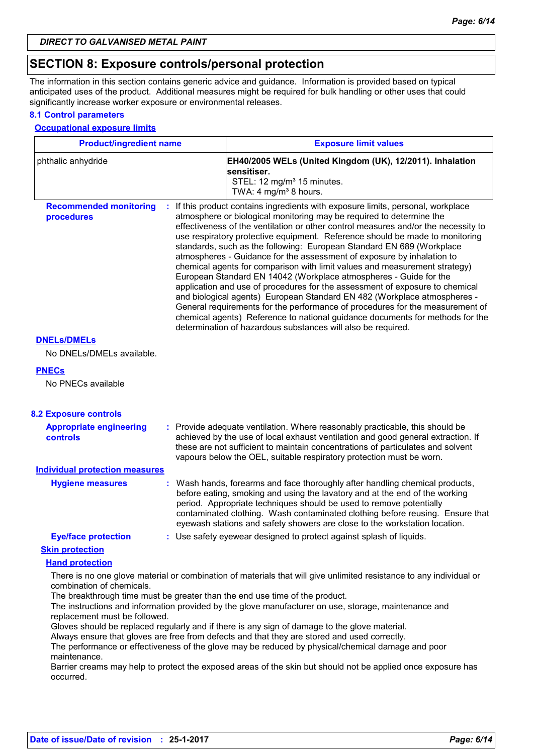### **SECTION 8: Exposure controls/personal protection**

The information in this section contains generic advice and guidance. Information is provided based on typical anticipated uses of the product. Additional measures might be required for bulk handling or other uses that could significantly increase worker exposure or environmental releases.

#### **8.1 Control parameters**

#### **Occupational exposure limits**

| <b>Product/ingredient name</b>                    |    | <b>Exposure limit values</b>                                                                                                                                                                                                                                                                                                                                                                                                                                                                                                                                                                                                                                                                                                                                                                                                                                                                                                                                                                                                                                          |  |
|---------------------------------------------------|----|-----------------------------------------------------------------------------------------------------------------------------------------------------------------------------------------------------------------------------------------------------------------------------------------------------------------------------------------------------------------------------------------------------------------------------------------------------------------------------------------------------------------------------------------------------------------------------------------------------------------------------------------------------------------------------------------------------------------------------------------------------------------------------------------------------------------------------------------------------------------------------------------------------------------------------------------------------------------------------------------------------------------------------------------------------------------------|--|
| phthalic anhydride                                |    | EH40/2005 WELs (United Kingdom (UK), 12/2011). Inhalation<br>sensitiser.<br>STEL: 12 mg/m <sup>3</sup> 15 minutes.                                                                                                                                                                                                                                                                                                                                                                                                                                                                                                                                                                                                                                                                                                                                                                                                                                                                                                                                                    |  |
| <b>Recommended monitoring</b><br>procedures       |    | TWA: 4 mg/m <sup>3</sup> 8 hours.<br>If this product contains ingredients with exposure limits, personal, workplace<br>atmosphere or biological monitoring may be required to determine the<br>effectiveness of the ventilation or other control measures and/or the necessity to<br>use respiratory protective equipment. Reference should be made to monitoring<br>standards, such as the following: European Standard EN 689 (Workplace<br>atmospheres - Guidance for the assessment of exposure by inhalation to<br>chemical agents for comparison with limit values and measurement strategy)<br>European Standard EN 14042 (Workplace atmospheres - Guide for the<br>application and use of procedures for the assessment of exposure to chemical<br>and biological agents) European Standard EN 482 (Workplace atmospheres -<br>General requirements for the performance of procedures for the measurement of<br>chemical agents) Reference to national guidance documents for methods for the<br>determination of hazardous substances will also be required. |  |
| <b>DNELS/DMELS</b>                                |    |                                                                                                                                                                                                                                                                                                                                                                                                                                                                                                                                                                                                                                                                                                                                                                                                                                                                                                                                                                                                                                                                       |  |
| No DNELs/DMELs available.                         |    |                                                                                                                                                                                                                                                                                                                                                                                                                                                                                                                                                                                                                                                                                                                                                                                                                                                                                                                                                                                                                                                                       |  |
| <b>PNECs</b><br>No PNECs available                |    |                                                                                                                                                                                                                                                                                                                                                                                                                                                                                                                                                                                                                                                                                                                                                                                                                                                                                                                                                                                                                                                                       |  |
| <b>8.2 Exposure controls</b>                      |    |                                                                                                                                                                                                                                                                                                                                                                                                                                                                                                                                                                                                                                                                                                                                                                                                                                                                                                                                                                                                                                                                       |  |
| <b>Appropriate engineering</b><br><b>controls</b> |    | : Provide adequate ventilation. Where reasonably practicable, this should be<br>achieved by the use of local exhaust ventilation and good general extraction. If<br>these are not sufficient to maintain concentrations of particulates and solvent                                                                                                                                                                                                                                                                                                                                                                                                                                                                                                                                                                                                                                                                                                                                                                                                                   |  |
|                                                   |    | vapours below the OEL, suitable respiratory protection must be worn.                                                                                                                                                                                                                                                                                                                                                                                                                                                                                                                                                                                                                                                                                                                                                                                                                                                                                                                                                                                                  |  |
| <b>Individual protection measures</b>             |    |                                                                                                                                                                                                                                                                                                                                                                                                                                                                                                                                                                                                                                                                                                                                                                                                                                                                                                                                                                                                                                                                       |  |
| <b>Hygiene measures</b>                           | ÷. | Wash hands, forearms and face thoroughly after handling chemical products,<br>before eating, smoking and using the lavatory and at the end of the working<br>period. Appropriate techniques should be used to remove potentially<br>contaminated clothing. Wash contaminated clothing before reusing. Ensure that<br>eyewash stations and safety showers are close to the workstation location.                                                                                                                                                                                                                                                                                                                                                                                                                                                                                                                                                                                                                                                                       |  |
| <b>Eye/face protection</b>                        |    | : Use safety eyewear designed to protect against splash of liquids.                                                                                                                                                                                                                                                                                                                                                                                                                                                                                                                                                                                                                                                                                                                                                                                                                                                                                                                                                                                                   |  |
| <b>Skin protection</b>                            |    |                                                                                                                                                                                                                                                                                                                                                                                                                                                                                                                                                                                                                                                                                                                                                                                                                                                                                                                                                                                                                                                                       |  |
| <b>Hand protection</b>                            |    |                                                                                                                                                                                                                                                                                                                                                                                                                                                                                                                                                                                                                                                                                                                                                                                                                                                                                                                                                                                                                                                                       |  |
| combination of chemicals.                         |    | There is no one glove material or combination of materials that will give unlimited resistance to any individual or                                                                                                                                                                                                                                                                                                                                                                                                                                                                                                                                                                                                                                                                                                                                                                                                                                                                                                                                                   |  |
| replacement must be followed.                     |    | The breakthrough time must be greater than the end use time of the product.<br>The instructions and information provided by the glove manufacturer on use, storage, maintenance and                                                                                                                                                                                                                                                                                                                                                                                                                                                                                                                                                                                                                                                                                                                                                                                                                                                                                   |  |
| maintenance.                                      |    | Gloves should be replaced regularly and if there is any sign of damage to the glove material.<br>Always ensure that gloves are free from defects and that they are stored and used correctly.<br>The performance or effectiveness of the glove may be reduced by physical/chemical damage and poor                                                                                                                                                                                                                                                                                                                                                                                                                                                                                                                                                                                                                                                                                                                                                                    |  |
| occurred.                                         |    | Barrier creams may help to protect the exposed areas of the skin but should not be applied once exposure has                                                                                                                                                                                                                                                                                                                                                                                                                                                                                                                                                                                                                                                                                                                                                                                                                                                                                                                                                          |  |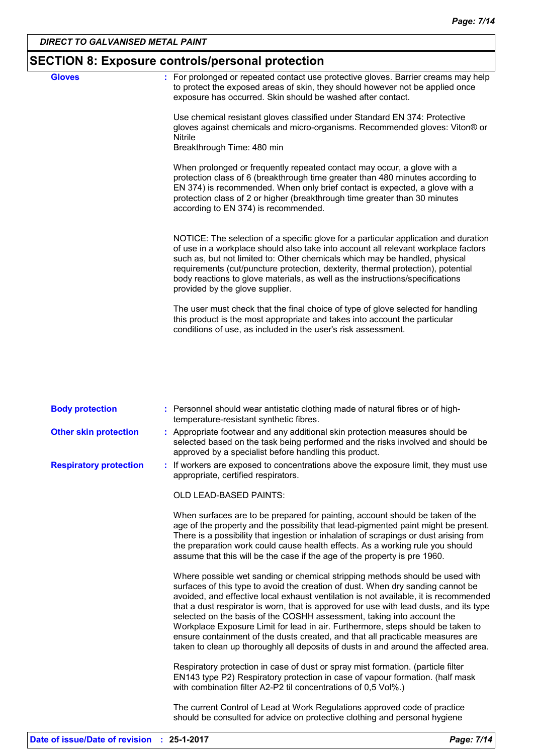| <b>SECTION 8: Exposure controls/personal protection</b> |                                                                                                                                                                                                                                                                                                                                                                                                                                                                  |  |  |
|---------------------------------------------------------|------------------------------------------------------------------------------------------------------------------------------------------------------------------------------------------------------------------------------------------------------------------------------------------------------------------------------------------------------------------------------------------------------------------------------------------------------------------|--|--|
| <b>Gloves</b>                                           | : For prolonged or repeated contact use protective gloves. Barrier creams may help<br>to protect the exposed areas of skin, they should however not be applied once<br>exposure has occurred. Skin should be washed after contact.                                                                                                                                                                                                                               |  |  |
|                                                         | Use chemical resistant gloves classified under Standard EN 374: Protective<br>gloves against chemicals and micro-organisms. Recommended gloves: Viton® or<br><b>Nitrile</b><br>Breakthrough Time: 480 min                                                                                                                                                                                                                                                        |  |  |
|                                                         | When prolonged or frequently repeated contact may occur, a glove with a<br>protection class of 6 (breakthrough time greater than 480 minutes according to<br>EN 374) is recommended. When only brief contact is expected, a glove with a<br>protection class of 2 or higher (breakthrough time greater than 30 minutes<br>according to EN 374) is recommended.                                                                                                   |  |  |
|                                                         | NOTICE: The selection of a specific glove for a particular application and duration<br>of use in a workplace should also take into account all relevant workplace factors<br>such as, but not limited to: Other chemicals which may be handled, physical<br>requirements (cut/puncture protection, dexterity, thermal protection), potential<br>body reactions to glove materials, as well as the instructions/specifications<br>provided by the glove supplier. |  |  |
|                                                         | The user must check that the final choice of type of glove selected for handling<br>this product is the most appropriate and takes into account the particular<br>conditions of use, as included in the user's risk assessment.                                                                                                                                                                                                                                  |  |  |

| <b>Body protection</b>        | : Personnel should wear antistatic clothing made of natural fibres or of high-<br>temperature-resistant synthetic fibres.                                                                                                                                                                                                                                                                                                                                                                                                                                                                                                                                                               |
|-------------------------------|-----------------------------------------------------------------------------------------------------------------------------------------------------------------------------------------------------------------------------------------------------------------------------------------------------------------------------------------------------------------------------------------------------------------------------------------------------------------------------------------------------------------------------------------------------------------------------------------------------------------------------------------------------------------------------------------|
| <b>Other skin protection</b>  | : Appropriate footwear and any additional skin protection measures should be<br>selected based on the task being performed and the risks involved and should be<br>approved by a specialist before handling this product.                                                                                                                                                                                                                                                                                                                                                                                                                                                               |
| <b>Respiratory protection</b> | : If workers are exposed to concentrations above the exposure limit, they must use<br>appropriate, certified respirators.                                                                                                                                                                                                                                                                                                                                                                                                                                                                                                                                                               |
|                               | <b>OLD LEAD-BASED PAINTS:</b>                                                                                                                                                                                                                                                                                                                                                                                                                                                                                                                                                                                                                                                           |
|                               | When surfaces are to be prepared for painting, account should be taken of the<br>age of the property and the possibility that lead-pigmented paint might be present.<br>There is a possibility that ingestion or inhalation of scrapings or dust arising from<br>the preparation work could cause health effects. As a working rule you should<br>assume that this will be the case if the age of the property is pre 1960.                                                                                                                                                                                                                                                             |
|                               | Where possible wet sanding or chemical stripping methods should be used with<br>surfaces of this type to avoid the creation of dust. When dry sanding cannot be<br>avoided, and effective local exhaust ventilation is not available, it is recommended<br>that a dust respirator is worn, that is approved for use with lead dusts, and its type<br>selected on the basis of the COSHH assessment, taking into account the<br>Workplace Exposure Limit for lead in air. Furthermore, steps should be taken to<br>ensure containment of the dusts created, and that all practicable measures are<br>taken to clean up thoroughly all deposits of dusts in and around the affected area. |
|                               | Respiratory protection in case of dust or spray mist formation. (particle filter<br>EN143 type P2) Respiratory protection in case of vapour formation. (half mask<br>with combination filter A2-P2 til concentrations of 0,5 Vol%.)                                                                                                                                                                                                                                                                                                                                                                                                                                                     |
|                               | The current Control of Lead at Work Regulations approved code of practice<br>should be consulted for advice on protective clothing and personal hygiene                                                                                                                                                                                                                                                                                                                                                                                                                                                                                                                                 |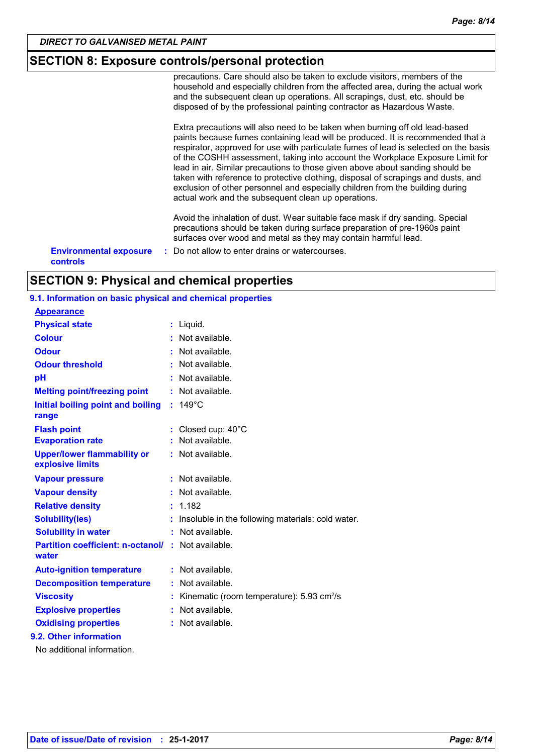### **SECTION 8: Exposure controls/personal protection**

precautions. Care should also be taken to exclude visitors, members of the household and especially children from the affected area, during the actual work and the subsequent clean up operations. All scrapings, dust, etc. should be disposed of by the professional painting contractor as Hazardous Waste. Extra precautions will also need to be taken when burning off old lead-based paints because fumes containing lead will be produced. It is recommended that a respirator, approved for use with particulate fumes of lead is selected on the basis of the COSHH assessment, taking into account the Workplace Exposure Limit for lead in air. Similar precautions to those given above about sanding should be taken with reference to protective clothing, disposal of scrapings and dusts, and exclusion of other personnel and especially children from the building during actual work and the subsequent clean up operations. Avoid the inhalation of dust. Wear suitable face mask if dry sanding. Special precautions should be taken during surface preparation of pre-1960s paint surfaces over wood and metal as they may contain harmful lead. **Environmental exposure :** Do not allow to enter drains or watercourses. **controls**

### **SECTION 9: Physical and chemical properties**

### **9.1. Information on basic physical and chemical properties**

**Appearance**

| __________________                                     |    |                                                            |
|--------------------------------------------------------|----|------------------------------------------------------------|
| <b>Physical state</b>                                  |    | : Liquid.                                                  |
| <b>Colour</b>                                          |    | Not available.                                             |
| <b>Odour</b>                                           |    | Not available.                                             |
| <b>Odour threshold</b>                                 |    | Not available.                                             |
| pH                                                     |    | Not available.                                             |
| <b>Melting point/freezing point</b>                    |    | Not available.                                             |
| Initial boiling point and boiling<br>range             | ÷. | $149^{\circ}$ C                                            |
| <b>Flash point</b>                                     |    | Closed cup: 40°C                                           |
| <b>Evaporation rate</b>                                |    | Not available.                                             |
| <b>Upper/lower flammability or</b><br>explosive limits |    | $:$ Not available.                                         |
| <b>Vapour pressure</b>                                 |    | Not available.                                             |
| <b>Vapour density</b>                                  |    | Not available.                                             |
| <b>Relative density</b>                                |    | 1.182                                                      |
| <b>Solubility(ies)</b>                                 |    | Insoluble in the following materials: cold water.          |
| <b>Solubility in water</b>                             |    | Not available.                                             |
| <b>Partition coefficient: n-octanol/</b><br>water      |    | : Not available.                                           |
| <b>Auto-ignition temperature</b>                       | ÷. | Not available.                                             |
| <b>Decomposition temperature</b>                       | t  | Not available.                                             |
| <b>Viscosity</b>                                       | Ì  | Kinematic (room temperature): $5.93 \text{ cm}^2/\text{s}$ |
| <b>Explosive properties</b>                            | ÷  | Not available.                                             |
| <b>Oxidising properties</b>                            |    | Not available.                                             |
| 9.2. Other information                                 |    |                                                            |
| No additional information.                             |    |                                                            |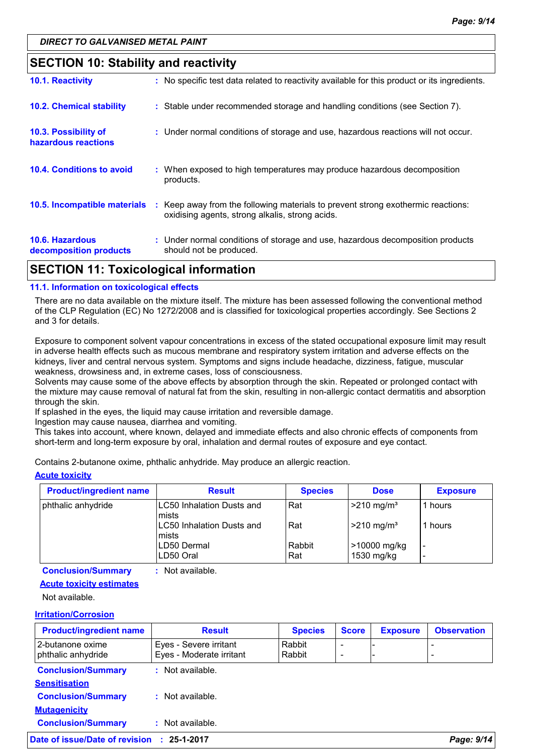### **SECTION 10: Stability and reactivity**

| <b>10.6. Hazardous</b><br>decomposition products | : Under normal conditions of storage and use, hazardous decomposition products<br>should not be produced.                           |
|--------------------------------------------------|-------------------------------------------------------------------------------------------------------------------------------------|
| 10.5. Incompatible materials                     | : Keep away from the following materials to prevent strong exothermic reactions:<br>oxidising agents, strong alkalis, strong acids. |
| <b>10.4. Conditions to avoid</b>                 | : When exposed to high temperatures may produce hazardous decomposition<br>products.                                                |
| 10.3. Possibility of<br>hazardous reactions      | : Under normal conditions of storage and use, hazardous reactions will not occur.                                                   |
| <b>10.2. Chemical stability</b>                  | : Stable under recommended storage and handling conditions (see Section 7).                                                         |
| 10.1. Reactivity                                 | : No specific test data related to reactivity available for this product or its ingredients.                                        |

### **SECTION 11: Toxicological information**

#### **11.1. Information on toxicological effects**

There are no data available on the mixture itself. The mixture has been assessed following the conventional method of the CLP Regulation (EC) No 1272/2008 and is classified for toxicological properties accordingly. See Sections 2 and 3 for details.

Exposure to component solvent vapour concentrations in excess of the stated occupational exposure limit may result in adverse health effects such as mucous membrane and respiratory system irritation and adverse effects on the kidneys, liver and central nervous system. Symptoms and signs include headache, dizziness, fatigue, muscular weakness, drowsiness and, in extreme cases, loss of consciousness.

Solvents may cause some of the above effects by absorption through the skin. Repeated or prolonged contact with the mixture may cause removal of natural fat from the skin, resulting in non-allergic contact dermatitis and absorption through the skin.

If splashed in the eyes, the liquid may cause irritation and reversible damage.

Ingestion may cause nausea, diarrhea and vomiting.

This takes into account, where known, delayed and immediate effects and also chronic effects of components from short-term and long-term exposure by oral, inhalation and dermal routes of exposure and eye contact.

Contains 2-butanone oxime, phthalic anhydride. May produce an allergic reaction.

#### **Acute toxicity**

| <b>Product/ingredient name</b> | <b>Result</b>                       | <b>Species</b> | <b>Dose</b>                  | <b>Exposure</b> |
|--------------------------------|-------------------------------------|----------------|------------------------------|-----------------|
| phthalic anhydride             | LC50 Inhalation Dusts and<br>mists  | l Rat          | $\geq$ 210 mg/m <sup>3</sup> | 1 hours         |
|                                | LC50 Inhalation Dusts and<br>Imists | l Rat          | $>210$ mg/m <sup>3</sup>     | 1 hours         |
|                                | LD50 Dermal                         | Rabbit         | >10000 mg/kg                 | -               |
|                                | LD50 Oral                           | Rat            | 1530 mg/kg                   | -               |

**Conclusion/Summary :** Not available.

#### **Acute toxicity estimates**

Not available.

#### **Irritation/Corrosion**

| <b>Product/ingredient name</b>           | <b>Result</b>                                      | <b>Species</b>   | <b>Score</b>                  | <b>Exposure</b> | <b>Observation</b> |
|------------------------------------------|----------------------------------------------------|------------------|-------------------------------|-----------------|--------------------|
| l 2-butanone oxime<br>phthalic anhydride | Eyes - Severe irritant<br>Eyes - Moderate irritant | Rabbit<br>Rabbit | $\overline{\phantom{0}}$<br>- |                 |                    |
| <b>Conclusion/Summary</b>                | : Not available.                                   |                  |                               |                 |                    |
| <b>Sensitisation</b>                     |                                                    |                  |                               |                 |                    |
| <b>Conclusion/Summary</b>                | $:$ Not available.                                 |                  |                               |                 |                    |
| <b>Mutagenicity</b>                      |                                                    |                  |                               |                 |                    |
| <b>Conclusion/Summary</b>                | : Not available.                                   |                  |                               |                 |                    |
| ate of issue/Date of revision            | 25-1-2017                                          |                  |                               |                 | Page: 9/14         |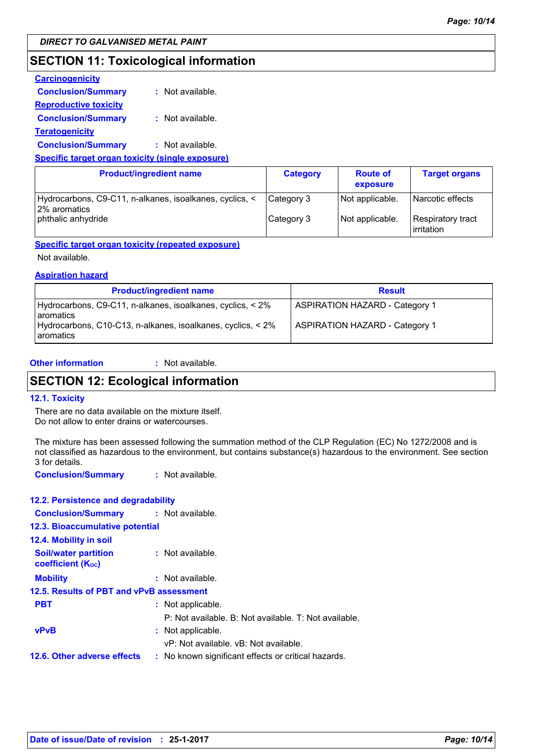### **SECTION 11: Toxicological information**

| <b>Carcinogenicity</b>                                  |                  |
|---------------------------------------------------------|------------------|
| <b>Conclusion/Summary</b>                               | : Not available. |
| <u>Reproductive toxicity</u>                            |                  |
| <b>Conclusion/Summary</b>                               | : Not available. |
| <u>Teratogenicity</u>                                   |                  |
| <b>Conclusion/Summary</b>                               | : Not available. |
| <b>Specific target organ toxicity (single exposure)</b> |                  |

| <b>Product/ingredient name</b>                                                                | <b>Category</b>          | <b>Route of</b><br>exposure        | <b>Target organs</b>                                         |
|-----------------------------------------------------------------------------------------------|--------------------------|------------------------------------|--------------------------------------------------------------|
| Hydrocarbons, C9-C11, n-alkanes, isoalkanes, cyclics, <<br>2% aromatics<br>phthalic anhydride | Category 3<br>Category 3 | Not applicable.<br>Not applicable. | Narcotic effects<br>Respiratory tract<br><b>l</b> irritation |

#### **Specific target organ toxicity (repeated exposure)**

Not available.

#### **Aspiration hazard**

| <b>Product/ingredient name</b>                                                 | <b>Result</b>                         |
|--------------------------------------------------------------------------------|---------------------------------------|
| Hydrocarbons, C9-C11, n-alkanes, isoalkanes, cyclics, < 2%<br><b>aromatics</b> | <b>ASPIRATION HAZARD - Category 1</b> |
| Hydrocarbons, C10-C13, n-alkanes, isoalkanes, cyclics, < 2%<br>I aromatics     | <b>ASPIRATION HAZARD - Category 1</b> |

#### **Other information :**

: Not available.

### **SECTION 12: Ecological information**

#### **12.1. Toxicity**

There are no data available on the mixture itself. Do not allow to enter drains or watercourses.

The mixture has been assessed following the summation method of the CLP Regulation (EC) No 1272/2008 and is not classified as hazardous to the environment, but contains substance(s) hazardous to the environment. See section 3 for details.

**Conclusion/Summary :** Not available.

#### **12.2. Persistence and degradability**

| <b>Conclusion/Summary : Not available.</b>              |  |                                                       |  |  |  |
|---------------------------------------------------------|--|-------------------------------------------------------|--|--|--|
| <b>12.3. Bioaccumulative potential</b>                  |  |                                                       |  |  |  |
| 12.4. Mobility in soil                                  |  |                                                       |  |  |  |
| <b>Soil/water partition</b><br><b>coefficient (Koc)</b> |  | : Not available.                                      |  |  |  |
| <b>Mobility</b>                                         |  | : Not available.                                      |  |  |  |
| 12.5. Results of PBT and vPvB assessment                |  |                                                       |  |  |  |
| <b>PBT</b>                                              |  | : Not applicable.                                     |  |  |  |
|                                                         |  | P: Not available. B: Not available. T: Not available. |  |  |  |
| <b>vPvB</b>                                             |  | : Not applicable.                                     |  |  |  |
|                                                         |  | vP: Not available, vB: Not available.                 |  |  |  |
| 12.6. Other adverse effects                             |  | : No known significant effects or critical hazards.   |  |  |  |
|                                                         |  |                                                       |  |  |  |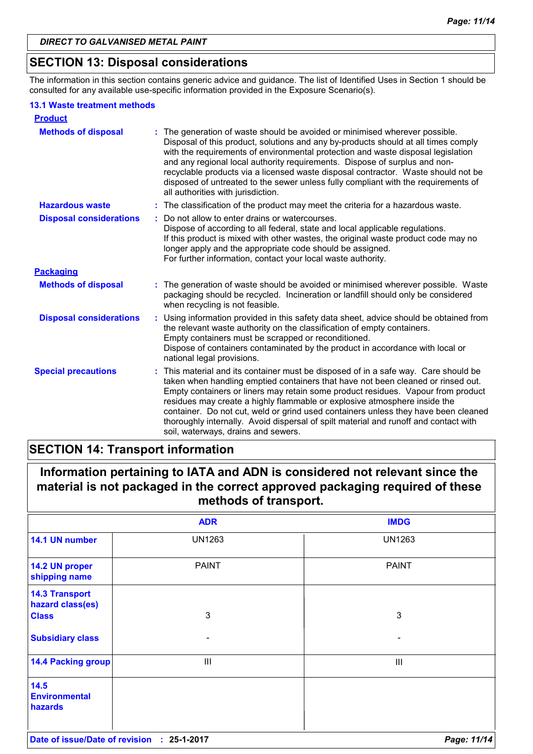### **SECTION 13: Disposal considerations**

The information in this section contains generic advice and guidance. The list of Identified Uses in Section 1 should be consulted for any available use-specific information provided in the Exposure Scenario(s).

#### **13.1 Waste treatment methods**

| <b>Product</b>                 |                                                                                                                                                                                                                                                                                                                                                                                                                                                                                                                                                             |
|--------------------------------|-------------------------------------------------------------------------------------------------------------------------------------------------------------------------------------------------------------------------------------------------------------------------------------------------------------------------------------------------------------------------------------------------------------------------------------------------------------------------------------------------------------------------------------------------------------|
| <b>Methods of disposal</b>     | The generation of waste should be avoided or minimised wherever possible.<br>Disposal of this product, solutions and any by-products should at all times comply<br>with the requirements of environmental protection and waste disposal legislation<br>and any regional local authority requirements. Dispose of surplus and non-<br>recyclable products via a licensed waste disposal contractor. Waste should not be<br>disposed of untreated to the sewer unless fully compliant with the requirements of<br>all authorities with jurisdiction.          |
| <b>Hazardous waste</b>         | : The classification of the product may meet the criteria for a hazardous waste.                                                                                                                                                                                                                                                                                                                                                                                                                                                                            |
| <b>Disposal considerations</b> | Do not allow to enter drains or watercourses.<br>Dispose of according to all federal, state and local applicable regulations.<br>If this product is mixed with other wastes, the original waste product code may no<br>longer apply and the appropriate code should be assigned.<br>For further information, contact your local waste authority.                                                                                                                                                                                                            |
| <b>Packaging</b>               |                                                                                                                                                                                                                                                                                                                                                                                                                                                                                                                                                             |
| <b>Methods of disposal</b>     | : The generation of waste should be avoided or minimised wherever possible. Waste<br>packaging should be recycled. Incineration or landfill should only be considered<br>when recycling is not feasible.                                                                                                                                                                                                                                                                                                                                                    |
| <b>Disposal considerations</b> | Using information provided in this safety data sheet, advice should be obtained from<br>÷.<br>the relevant waste authority on the classification of empty containers.<br>Empty containers must be scrapped or reconditioned.<br>Dispose of containers contaminated by the product in accordance with local or<br>national legal provisions.                                                                                                                                                                                                                 |
| <b>Special precautions</b>     | This material and its container must be disposed of in a safe way. Care should be<br>taken when handling emptied containers that have not been cleaned or rinsed out.<br>Empty containers or liners may retain some product residues. Vapour from product<br>residues may create a highly flammable or explosive atmosphere inside the<br>container. Do not cut, weld or grind used containers unless they have been cleaned<br>thoroughly internally. Avoid dispersal of spilt material and runoff and contact with<br>soil, waterways, drains and sewers. |

### **SECTION 14: Transport information**

**Information pertaining to IATA and ADN is considered not relevant since the material is not packaged in the correct approved packaging required of these methods of transport.**

|                                                           | <b>ADR</b>    | <b>IMDG</b>    |
|-----------------------------------------------------------|---------------|----------------|
| 14.1 UN number                                            | <b>UN1263</b> | <b>UN1263</b>  |
| 14.2 UN proper<br>shipping name                           | <b>PAINT</b>  | <b>PAINT</b>   |
| <b>14.3 Transport</b><br>hazard class(es)<br><b>Class</b> | $\mathbf{3}$  | $\mathbf{3}$   |
| <b>Subsidiary class</b>                                   |               |                |
| <b>14.4 Packing group</b>                                 | Ш             | $\mathbf{III}$ |
| 14.5<br><b>Environmental</b><br>hazards                   |               |                |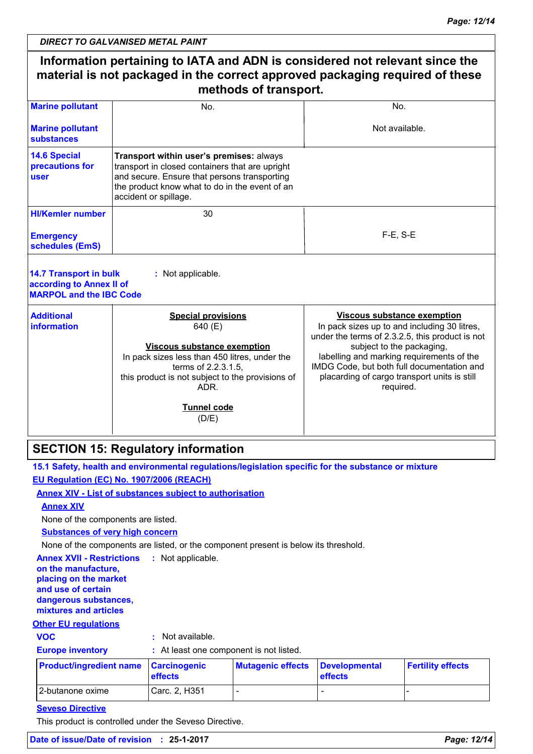|                                                                                             | <b>DIRECT TO GALVANISED METAL PAINT</b>                                                                                                                                                                                                       |                                                                                                                                                                                                                                                                                                                            |  |
|---------------------------------------------------------------------------------------------|-----------------------------------------------------------------------------------------------------------------------------------------------------------------------------------------------------------------------------------------------|----------------------------------------------------------------------------------------------------------------------------------------------------------------------------------------------------------------------------------------------------------------------------------------------------------------------------|--|
|                                                                                             | Information pertaining to IATA and ADN is considered not relevant since the<br>material is not packaged in the correct approved packaging required of these<br>methods of transport.                                                          |                                                                                                                                                                                                                                                                                                                            |  |
| <b>Marine pollutant</b>                                                                     | No.                                                                                                                                                                                                                                           | No.                                                                                                                                                                                                                                                                                                                        |  |
| <b>Marine pollutant</b><br><b>substances</b>                                                |                                                                                                                                                                                                                                               | Not available.                                                                                                                                                                                                                                                                                                             |  |
| <b>14.6 Special</b><br>precautions for<br>user                                              | Transport within user's premises: always<br>transport in closed containers that are upright<br>and secure. Ensure that persons transporting<br>the product know what to do in the event of an<br>accident or spillage.                        |                                                                                                                                                                                                                                                                                                                            |  |
| <b>HI/Kemler number</b>                                                                     | 30                                                                                                                                                                                                                                            |                                                                                                                                                                                                                                                                                                                            |  |
| <b>Emergency</b><br>schedules (EmS)                                                         |                                                                                                                                                                                                                                               | $F-E$ , S-E                                                                                                                                                                                                                                                                                                                |  |
| <b>14.7 Transport in bulk</b><br>according to Annex II of<br><b>MARPOL and the IBC Code</b> | : Not applicable.                                                                                                                                                                                                                             |                                                                                                                                                                                                                                                                                                                            |  |
| <b>Additional</b><br><b>information</b>                                                     | <b>Special provisions</b><br>640 (E)<br><b>Viscous substance exemption</b><br>In pack sizes less than 450 litres, under the<br>terms of 2.2.3.1.5,<br>this product is not subject to the provisions of<br>ADR.<br><b>Tunnel code</b><br>(D/E) | <b>Viscous substance exemption</b><br>In pack sizes up to and including 30 litres,<br>under the terms of 2.3.2.5, this product is not<br>subject to the packaging,<br>labelling and marking requirements of the<br>IMDG Code, but both full documentation and<br>placarding of cargo transport units is still<br>required. |  |
|                                                                                             | <b>SECTION 15: Regulatory information</b>                                                                                                                                                                                                     |                                                                                                                                                                                                                                                                                                                            |  |
|                                                                                             | 15.1 Safety, health and environmental regulations/legislation specific for the substance or mixture                                                                                                                                           |                                                                                                                                                                                                                                                                                                                            |  |
|                                                                                             | EU Regulation (EC) No. 1907/2006 (REACH)                                                                                                                                                                                                      |                                                                                                                                                                                                                                                                                                                            |  |
|                                                                                             | <b>Annex XIV - List of substances subject to authorisation</b>                                                                                                                                                                                |                                                                                                                                                                                                                                                                                                                            |  |
| <b>Annex XIV</b>                                                                            |                                                                                                                                                                                                                                               |                                                                                                                                                                                                                                                                                                                            |  |

None of the components are listed.

**Substances of very high concern**

None of the components are listed, or the component present is below its threshold.

**Annex XVII - Restrictions : Not applicable. on the manufacture, placing on the market and use of certain dangerous substances, mixtures and articles**

### **Other EU regulations**

Π

**VOC :** Not available.

| <b>Europe inventory</b> | : At least one component is not listed. |
|-------------------------|-----------------------------------------|
|                         |                                         |

| <b>Product/ingredient name Carcinogenic</b> | <b>effects</b> | Mutagenic effects Developmental | <b>effects</b> | <b>Fertility effects</b> |
|---------------------------------------------|----------------|---------------------------------|----------------|--------------------------|
| 12-butanone oxime                           | Carc. 2. H351  |                                 |                |                          |

#### **Seveso Directive**

This product is controlled under the Seveso Directive.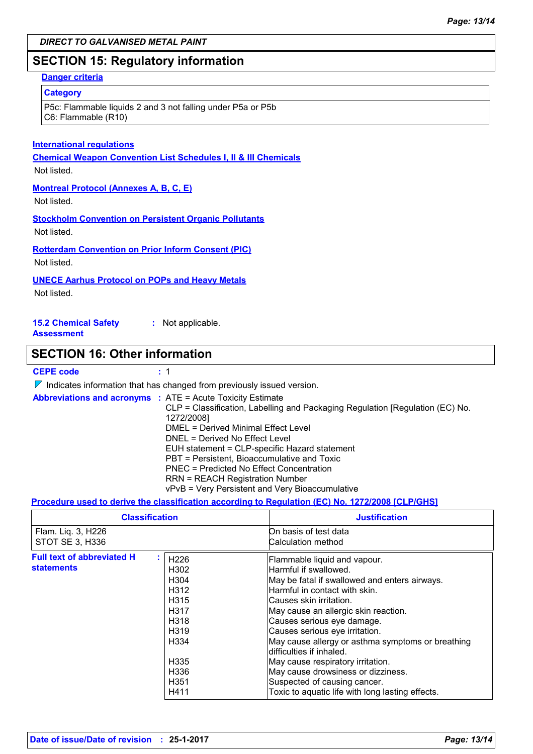### **SECTION 15: Regulatory information**

#### **Danger criteria**

#### **Category**

P5c: Flammable liquids 2 and 3 not falling under P5a or P5b C6: Flammable (R10)

#### **International regulations**

**Chemical Weapon Convention List Schedules I, II & III Chemicals**

#### Not listed.

**Montreal Protocol (Annexes A, B, C, E)**

Not listed.

**Stockholm Convention on Persistent Organic Pollutants** Not listed.

**Rotterdam Convention on Prior Inform Consent (PIC)**

Not listed.

#### **UNECE Aarhus Protocol on POPs and Heavy Metals**

Not listed.

**15.2 Chemical Safety Assessment :** Not applicable.

### **SECTION 16: Other information**

#### **CEPE code :** 1

 $\nabla$  Indicates information that has changed from previously issued version.

| <b>Abbreviations and acronyms : ATE = Acute Toxicity Estimate</b>             |
|-------------------------------------------------------------------------------|
| CLP = Classification, Labelling and Packaging Regulation [Regulation (EC) No. |
| 1272/2008]                                                                    |
| DMEL = Derived Minimal Effect Level                                           |
| DNEL = Derived No Effect Level                                                |
| EUH statement = CLP-specific Hazard statement                                 |
| PBT = Persistent, Bioaccumulative and Toxic                                   |
| <b>PNEC</b> = Predicted No Effect Concentration                               |
| <b>RRN = REACH Registration Number</b>                                        |
| vPvB = Very Persistent and Very Bioaccumulative                               |

#### **Procedure used to derive the classification according to Regulation (EC) No. 1272/2008 [CLP/GHS]**

| <b>Classification</b>                                  |                                                                                                                                           | <b>Justification</b>                                                                                                                                                                                                                                                                                                                                                                                                                                                                                                        |
|--------------------------------------------------------|-------------------------------------------------------------------------------------------------------------------------------------------|-----------------------------------------------------------------------------------------------------------------------------------------------------------------------------------------------------------------------------------------------------------------------------------------------------------------------------------------------------------------------------------------------------------------------------------------------------------------------------------------------------------------------------|
| Flam. Liq. 3, H226<br>STOT SE 3, H336                  |                                                                                                                                           | On basis of test data<br>Calculation method                                                                                                                                                                                                                                                                                                                                                                                                                                                                                 |
| <b>Full text of abbreviated H</b><br><b>statements</b> | H <sub>226</sub><br>H302<br>H304<br>H312<br>H <sub>315</sub><br>H317<br>H318<br>H <sub>3</sub> 19<br>H334<br>H335<br>H336<br>H351<br>H411 | Flammable liquid and vapour.<br>Harmful if swallowed.<br>May be fatal if swallowed and enters airways.<br>Harmful in contact with skin.<br>lCauses skin irritation.<br>May cause an allergic skin reaction.<br>Causes serious eye damage.<br>Causes serious eye irritation.<br>May cause allergy or asthma symptoms or breathing<br>difficulties if inhaled.<br>May cause respiratory irritation.<br>May cause drowsiness or dizziness.<br>Suspected of causing cancer.<br>Toxic to aquatic life with long lasting effects. |